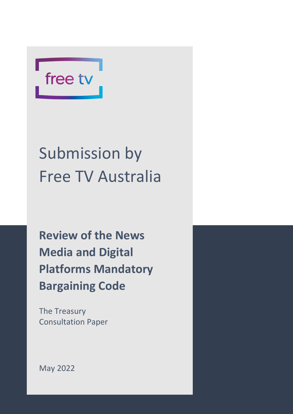

# Submission by Free TV Australia

**Review of the News Media and Digital Platforms Mandatory Bargaining Code**

The Treasury Consultation Paper

May 2022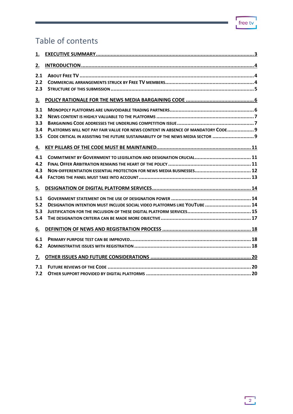# Table of contents

| 1.  |                                                                                   |
|-----|-----------------------------------------------------------------------------------|
| 2.  |                                                                                   |
| 2.1 |                                                                                   |
| 2.2 |                                                                                   |
| 2.3 |                                                                                   |
| З.  |                                                                                   |
| 3.1 |                                                                                   |
| 3.2 |                                                                                   |
| 3.3 |                                                                                   |
| 3.4 | PLATFORMS WILL NOT PAY FAIR VALUE FOR NEWS CONTENT IN ABSENCE OF MANDATORY CODE 9 |
| 3.5 | CODE CRITICAL IN ASSISTING THE FUTURE SUSTAINABILITY OF THE NEWS MEDIA SECTOR  9  |
| 4.  |                                                                                   |
| 4.1 |                                                                                   |
| 4.2 |                                                                                   |
| 4.3 |                                                                                   |
| 4.4 |                                                                                   |
| 5.  |                                                                                   |
| 5.1 |                                                                                   |
| 5.2 | DESIGNATION INTENTION MUST INCLUDE SOCIAL VIDEO PLATFORMS LIKE YOUTUBE  14        |
| 5.3 |                                                                                   |
| 5.4 |                                                                                   |
| 6.  |                                                                                   |
| 6.1 |                                                                                   |
| 6.2 |                                                                                   |
| 7.  |                                                                                   |
| 7.1 |                                                                                   |
| 7.2 |                                                                                   |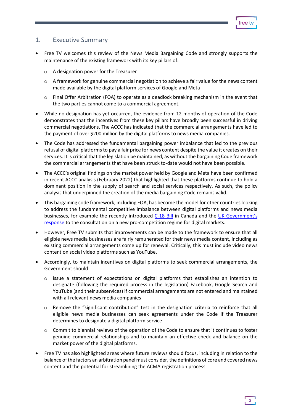#### <span id="page-2-0"></span>1. Executive Summary

- Free TV welcomes this review of the News Media Bargaining Code and strongly supports the maintenance of the existing framework with its key pillars of:
	- o A designation power for the Treasurer
	- $\circ$  A framework for genuine commercial negotiation to achieve a fair value for the news content made available by the digital platform services of Google and Meta
	- $\circ$  Final Offer Arbitration (FOA) to operate as a deadlock breaking mechanism in the event that the two parties cannot come to a commercial agreement.
- While no designation has yet occurred, the evidence from 12 months of operation of the Code demonstrates that the incentives from these key pillars have broadly been successful in driving commercial negotiations. The ACCC has indicated that the commercial arrangements have led to the payment of over \$200 million by the digital platforms to news media companies.
- The Code has addressed the fundamental bargaining power imbalance that led to the previous refusal of digital platforms to pay a fair price for news content despite the value it creates on their services. It is critical that the legislation be maintained, as without the bargaining Code framework the commercial arrangements that have been struck to-date would not have been possible.
- The ACCC's original findings on the market power held by Google and Meta have been confirmed in recent ACCC analysis (February 2022) that highlighted that these platforms continue to hold a dominant position in the supply of search and social services respectively. As such, the policy analysis that underpinned the creation of the media bargaining Code remains valid.
- This bargaining code framework, including FOA, has become the model for other countrieslooking to address the fundamental competitive imbalance between digital platforms and news media businesses, for example the recently introduced [C-18](https://www.parl.ca/DocumentViewer/en/44-1/bill/C-18/first-reading) Bill in Canada and the [UK Government's](https://assets.publishing.service.gov.uk/government/uploads/system/uploads/attachment_data/file/1073164/E02740688_CP_657_Gov_Resp_Consultation_on_pro-comp_digital_markets_Accessible.pdf)  [response](https://assets.publishing.service.gov.uk/government/uploads/system/uploads/attachment_data/file/1073164/E02740688_CP_657_Gov_Resp_Consultation_on_pro-comp_digital_markets_Accessible.pdf) to the consultation on a new pro-competition regime for digital markets.
- However, Free TV submits that improvements can be made to the framework to ensure that all eligible news media businesses are fairly remunerated for their news media content, including as existing commercial arrangements come up for renewal. Critically, this must include video news content on social video platforms such as YouTube.
- Accordingly, to maintain incentives on digital platforms to seek commercial arrangements, the Government should:
	- $\circ$  issue a statement of expectations on digital platforms that establishes an intention to designate (following the required process in the legislation) Facebook, Google Search and YouTube (and their subservices) if commercial arrangements are not entered and maintained with all relevant news media companies
	- o Remove the "significant contribution" test in the designation criteria to reinforce that all eligible news media businesses can seek agreements under the Code if the Treasurer determines to designate a digital platform service
	- $\circ$  Commit to biennial reviews of the operation of the Code to ensure that it continues to foster genuine commercial relationships and to maintain an effective check and balance on the market power of the digital platforms.
- Free TV has also highlighted areas where future reviews should focus, including in relation to the balance of the factors an arbitration panel must consider, the definitions of core and covered news content and the potential for streamlining the ACMA registration process.

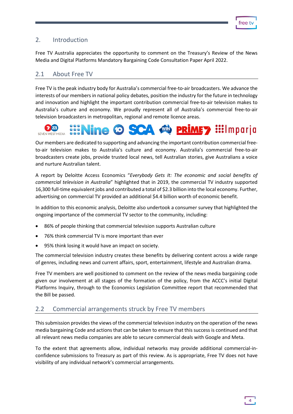# <span id="page-3-0"></span>2. Introduction

Free TV Australia appreciates the opportunity to comment on the Treasury's Review of the News Media and Digital Platforms Mandatory Bargaining Code Consultation Paper April 2022.

# <span id="page-3-1"></span>2.1 About Free TV

Free TV is the peak industry body for Australia's commercial free-to-air broadcasters. We advance the interests of our members in national policy debates, position the industry for the future in technology and innovation and highlight the important contribution commercial free-to-air television makes to Australia's culture and economy. We proudly represent all of Australia's commercial free-to-air television broadcasters in metropolitan, regional and remote licence areas.



Our members are dedicated to supporting and advancing the important contribution commercial freeto-air television makes to Australia's culture and economy. Australia's commercial free-to-air broadcasters create jobs, provide trusted local news, tell Australian stories, give Australians a voice and nurture Australian talent.

A report by Deloitte Access Economics "*Everybody Gets It: The economic and social benefits of commercial television in Australia*" highlighted that in 2019, the commercial TV industry supported 16,300 full-time equivalent jobs and contributed a total of \$2.3 billion into the local economy. Further, advertising on commercial TV provided an additional \$4.4 billion worth of economic benefit.

In addition to this economic analysis, Deloitte also undertook a consumer survey that highlighted the ongoing importance of the commercial TV sector to the community, including:

- 86% of people thinking that commercial television supports Australian culture
- 76% think commercial TV is more important than ever
- 95% think losing it would have an impact on society.

The commercial television industry creates these benefits by delivering content across a wide range of genres, including news and current affairs, sport, entertainment, lifestyle and Australian drama.

Free TV members are well positioned to comment on the review of the news media bargaining code given our involvement at all stages of the formation of the policy, from the ACCC's initial Digital Platforms Inquiry, through to the Economics Legislation Committee report that recommended that the Bill be passed.

#### <span id="page-3-2"></span>2.2 Commercial arrangements struck by Free TV members

This submission provides the views of the commercial television industry on the operation of the news media bargaining Code and actions that can be taken to ensure that this success is continued and that all relevant news media companies are able to secure commercial deals with Google and Meta.

To the extent that agreements allow, individual networks may provide additional commercial-inconfidence submissions to Treasury as part of this review. As is appropriate, Free TV does not have visibility of any individual network's commercial arrangements.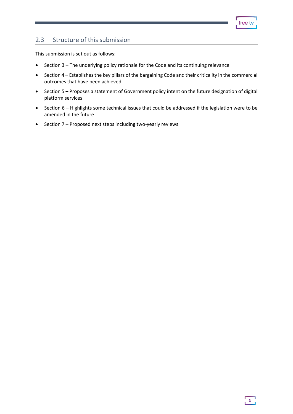# <span id="page-4-0"></span>2.3 Structure of this submission

This submission is set out as follows:

- Section 3 The underlying policy rationale for the Code and its continuing relevance
- Section 4 Establishes the key pillars of the bargaining Code and their criticality in the commercial outcomes that have been achieved
- Section 5 Proposes a statement of Government policy intent on the future designation of digital platform services
- Section 6 Highlights some technical issues that could be addressed if the legislation were to be amended in the future
- Section 7 Proposed next steps including two-yearly reviews.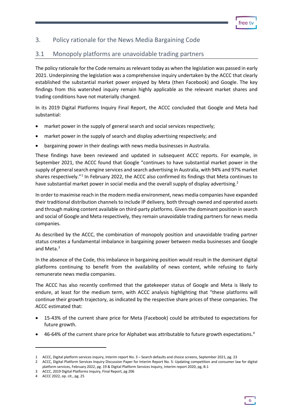# <span id="page-5-0"></span>3. Policy rationale for the News Media Bargaining Code

# <span id="page-5-1"></span>3.1 Monopoly platforms are unavoidable trading partners

The policy rationale for the Code remains as relevant today as when the legislation was passed in early 2021. Underpinning the legislation was a comprehensive inquiry undertaken by the ACCC that clearly established the substantial market power enjoyed by Meta (then Facebook) and Google. The key findings from this watershed inquiry remain highly applicable as the relevant market shares and trading conditions have not materially changed.

In its 2019 Digital Platforms Inquiry Final Report, the ACCC concluded that Google and Meta had substantial:

- market power in the supply of general search and social services respectively;
- market power in the supply of search and display advertising respectively; and
- bargaining power in their dealings with news media businesses in Australia.

These findings have been reviewed and updated in subsequent ACCC reports. For example, in September 2021, the ACCC found that Google "continues to have substantial market power in the supply of general search engine services and search advertising in Australia, with 94% and 97% market shares respectively."<sup>[1](#page-5-2)</sup> In February 2022, the ACCC also confirmed its findings that Meta continues to have substantial market power in social media and the overall supply of display advertising.<sup>[2](#page-5-3)</sup>

In order to maximise reach in the modern media environment, news media companies have expanded their traditional distribution channels to include IP delivery, both through owned and operated assets and through making content available on third-party platforms. Given the dominant position in search and social of Google and Meta respectively, they remain unavoidable trading partners for news media companies.

As described by the ACCC, the combination of monopoly position and unavoidable trading partner status creates a fundamental imbalance in bargaining power between media businesses and Google and Meta.<sup>3</sup>

In the absence of the Code, this imbalance in bargaining position would result in the dominant digital platforms continuing to benefit from the availability of news content, while refusing to fairly remunerate news media companies.

The ACCC has also recently confirmed that the gatekeeper status of Google and Meta is likely to endure, at least for the medium term, with ACCC analysis highlighting that "these platforms will continue their growth trajectory, as indicated by the respective share prices of these companies. The ACCC estimated that:

- 15-43% of the current share price for Meta (Facebook) could be attributed to expectations for future growth.
- [4](#page-5-5)6-64% of the current share price for Alphabet was attributable to future growth expectations.<sup>4</sup>

6

<span id="page-5-2"></span><sup>1</sup> ACCC, Digital platform services inquiry, Interim report No. 3 – Search defaults and choice screens, September 2021, pg. 23

<span id="page-5-3"></span><sup>2</sup> ACCC, Digital Platform Services Inquiry Discussion Paper for Interim Report No. 5: Updating competition and consumer law for digital platform services, February 2022, pg. 19 & Digital Platform Services Inquiry, Interim report 2020, pg, B.1

<span id="page-5-4"></span><sup>3</sup> ACCC, 2019 Digital Platforms Inquiry, Final Report, pg 206

<span id="page-5-5"></span><sup>4</sup> ACCC 2022, op. cit., pg. 25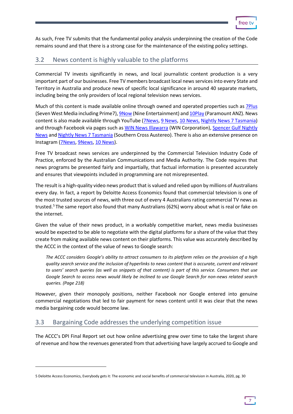

As such, Free TV submits that the fundamental policy analysis underpinning the creation of the Code remains sound and that there is a strong case for the maintenance of the existing policy settings.

# <span id="page-6-0"></span>3.2 News content is highly valuable to the platforms

Commercial TV invests significantly in news, and local journalistic content production is a very important part of our businesses. Free TV members broadcast local news services into every State and Territory in Australia and produce news of specific local significance in around 40 separate markets, including being the only providers of local regional television news services.

Much of this content is made available online through owned and operated properties such as [7Plus](https://7plus.com.au/news) (Seven West Media including Prime7)[, 9Now](https://www.9now.com.au/shows/news-and-current-affairs) (Nine Entertainment) an[d 10Play \(](https://10play.com.au/news)Paramount ANZ). News content is also made available through YouTube [\(7News,](https://www.youtube.com/user/7news) [9 News,](https://www.youtube.com/channel/UCIYLOcEUX6TbBo7HQVF2PKA) [10 News,](https://www.youtube.com/channel/UC64A-bbH15b5kN5A32CErOA) [Nightly News 7 Tasmania\)](https://www.youtube.com/channel/UCFqxgFA7Qa7AQZcUVDqhqdg) and through Facebook via pages such as [WIN News Illawarra](https://www.facebook.com/WINNewsIllawarra/) (WIN Corporation), Spencer Gulf Nightly [News](https://www.facebook.com/SpencerGulfNightlyNews/) and [Nightly News 7 Tasmania](https://www.facebook.com/7tasnews/) (Southern Cross Austereo). There is also an extensive presence on Instagram [\(7News,](https://www.instagram.com/7newsaustralia/) [9News,](https://www.instagram.com/9news/) [10 News\)](https://www.instagram.com/10newsfirst/).

Free TV broadcast news services are underpinned by the Commercial Television Industry Code of Practice, enforced by the Australian Communications and Media Authority. The Code requires that news programs be presented fairly and impartially, that factual information is presented accurately and ensures that viewpoints included in programming are not misrepresented.

The result is a high-quality video news product that is valued and relied upon by millions of Australians every day. In fact, a report by Deloitte Access Economics found that commercial television is one of the most trusted sources of news, with three out of every 4 Australians rating commercial TV news as trusted.<sup>[5](#page-6-2)</sup> The same report also found that many Australians (62%) worry about what is real or fake on the internet.

Given the value of their news product, in a workably competitive market, news media businesses would be expected to be able to negotiate with the digital platforms for a share of the value that they create from making available news content on their platforms. This value was accurately described by the ACCC in the context of the value of news to Google search:

*The ACCC considers Google's ability to attract consumers to its platform relies on the provision of a high quality search service and the inclusion of hyperlinks to news content that is accurate, current and relevant to users' search queries (as well as snippets of that content) is part of this service. Consumers that use Google Search to access news would likely be inclined to use Google Search for non-news related search queries. (Page 218)*

However, given their monopoly positions, neither Facebook nor Google entered into genuine commercial negotiations that led to fair payment for news content until it was clear that the news media bargaining code would become law.

# <span id="page-6-1"></span>3.3 Bargaining Code addresses the underlying competition issue

The ACCC's DPI Final Report set out how online advertising grew over time to take the largest share of revenue and how the revenues generated from that advertising have largely accrued to Google and

<span id="page-6-2"></span><sup>5</sup> Deloitte Access Economics, Everybody gets it: The economic and social benefits of commercial television in Australia, 2020, pg. 30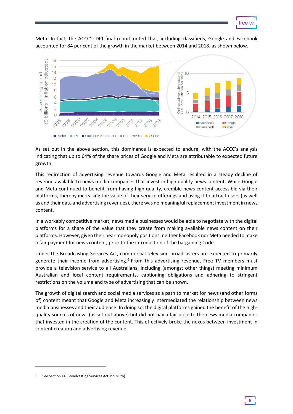

8

Meta. In fact, the ACCC's DPI final report noted that, including classifieds, Google and Facebook accounted for 84 per cent of the growth in the market between 2014 and 2018, as shown below.



As set out in the above section, this dominance is expected to endure, with the ACCC's analysis indicating that up to 64% of the share prices of Google and Meta are attributable to expected future growth.

This redirection of advertising revenue towards Google and Meta resulted in a steady decline of revenue available to news media companies that invest in high quality news content. While Google and Meta continued to benefit from having high quality, credible news content accessible via their platforms, thereby increasing the value of their service offerings and using it to attract users (as well as and their data and advertising revenues), there was no meaningful replacement investment in news content.

In a workably competitive market, news media businesses would be able to negotiate with the digital platforms for a share of the value that they create from making available news content on their platforms. However, given their near monopoly positions, neither Facebook nor Meta needed to make a fair payment for news content, prior to the introduction of the bargaining Code.

Under the Broadcasting Services Act, commercial television broadcasters are expected to primarily generate their income from advertising.<sup>[6](#page-7-0)</sup> From this advertising revenue, Free TV members must provide a television service to all Australians, including (amongst other things) meeting minimum Australian and local content requirements, captioning obligations and adhering to stringent restrictions on the volume and type of advertising that can be shown.

The growth of digital search and social media services as a path to market for news (and other forms of) content meant that Google and Meta increasingly intermediated the relationship between news media businesses and their audience. In doing so, the digital platforms gained the benefit of the highquality sources of news (as set out above) but did not pay a fair price to the news media companies that invested in the creation of the content. This effectively broke the nexus between investment in content creation and advertising revenue.

<span id="page-7-0"></span><sup>6</sup> See Section 14, Broadcasting Services Act 1992(Cth)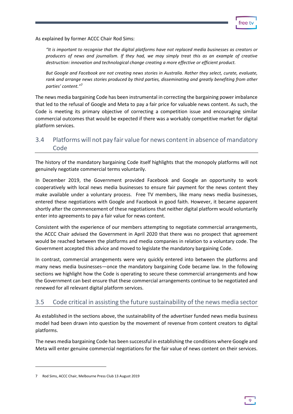As explained by former ACCC Chair Rod Sims:

*"It is important to recognise that the digital platforms have not replaced media businesses as creators or producers of news and journalism. If they had, we may simply treat this as an example of creative destruction: innovation and technological change creating a more effective or efficient product.*

*But Google and Facebook are not creating news stories in Australia. Rather they select, curate, evaluate, rank and arrange news stories produced by third parties, disseminating and greatly benefiting from other parties' content."*[7](#page-8-2)

The news media bargaining Code has been instrumental in correcting the bargaining power imbalance that led to the refusal of Google and Meta to pay a fair price for valuable news content. As such, the Code is meeting its primary objective of correcting a competition issue and encouraging similar commercial outcomes that would be expected if there was a workably competitive market for digital platform services.

# <span id="page-8-0"></span>3.4 Platforms will not pay fair value for news content in absence of mandatory Code

The history of the mandatory bargaining Code itself highlights that the monopoly platforms will not genuinely negotiate commercial terms voluntarily.

In December 2019, the Government provided Facebook and Google an opportunity to work cooperatively with local news media businesses to ensure fair payment for the news content they make available under a voluntary process. Free TV members, like many news media businesses, entered these negotiations with Google and Facebook in good faith. However, it became apparent shortly after the commencement of these negotiations that neither digital platform would voluntarily enter into agreements to pay a fair value for news content.

Consistent with the experience of our members attempting to negotiate commercial arrangements, the ACCC Chair advised the Government in April 2020 that there was no prospect that agreement would be reached between the platforms and media companies in relation to a voluntary code. The Government accepted this advice and moved to legislate the mandatory bargaining Code.

In contrast, commercial arrangements were very quickly entered into between the platforms and many news media businesses—once the mandatory bargaining Code became law. In the following sections we highlight how the Code is operating to secure these commercial arrangements and how the Government can best ensure that these commercial arrangements continue to be negotiated and renewed for all relevant digital platform services.

# <span id="page-8-1"></span>3.5 Code critical in assisting the future sustainability of the news media sector

As established in the sections above, the sustainability of the advertiser funded news media business model had been drawn into question by the movement of revenue from content creators to digital platforms.

The news media bargaining Code has been successful in establishing the conditions where Google and Meta will enter genuine commercial negotiations for the fair value of news content on their services.

<span id="page-8-2"></span><sup>7</sup> Rod Sims, ACCC Chair, Melbourne Press Club 13 August 2019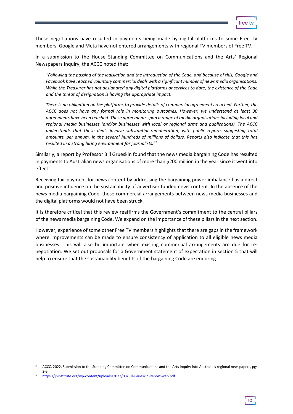

These negotiations have resulted in payments being made by digital platforms to some Free TV members. Google and Meta have not entered arrangements with regional TV members of Free TV.

In a submission to the House Standing Committee on Communications and the Arts' Regional Newspapers Inquiry, the ACCC noted that:

*"Following the passing of the legislation and the introduction of the Code, and because of this, Google and Facebook have reached voluntary commercial deals with a significant number of news media organisations. While the Treasurer has not designated any digital platforms or services to date, the existence of the Code and the threat of designation is having the appropriate impact.*

*There is no obligation on the platforms to provide details of commercial agreements reached. Further, the ACCC does not have any formal role in monitoring outcomes. However, we understand at least 30 agreements have been reached. These agreements span a range of media organisations including local and regional media businesses (and/or businesses with local or regional arms and publications). The ACCC understands that these deals involve substantial remuneration, with public reports suggesting total amounts, per annum, in the several hundreds of millions of dollars. Reports also indicate that this has resulted in a strong hiring environment for journalists."[8](#page-9-0)*

Similarly, a report by Professor Bill Grueskin found that the news media bargaining Code has resulted in payments to Australian news organisations of more than \$200 million in the year since it went into effect.<sup>[9](#page-9-1)</sup>

Receiving fair payment for news content by addressing the bargaining power imbalance has a direct and positive influence on the sustainability of advertiser funded news content. In the absence of the news media bargaining Code, these commercial arrangements between news media businesses and the digital platforms would not have been struck.

It is therefore critical that this review reaffirms the Government's commitment to the central pillars of the news media bargaining Code. We expand on the importance of these pillars in the next section.

However, experience of some other Free TV members highlights that there are gaps in the framework where improvements can be made to ensure consistency of application to all eligible news media businesses. This will also be important when existing commercial arrangements are due for renegotiation. We set out proposals for a Government statement of expectation in section 5 that will help to ensure that the sustainability benefits of the bargaining Code are enduring.

10

<span id="page-9-0"></span>ACCC, 2022, Submission to the Standing Committee on Communications and the Arts Inquiry into Australia's regional newspapers, pgs 2-3<br><sup>9</sup> https://jninstitute.org/wp-content/uploads/2022/03/Bill-Grueskin-Report-web.pdf

<span id="page-9-1"></span>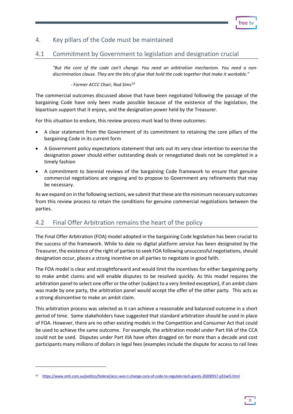tree 1

# <span id="page-10-0"></span>4. Key pillars of the Code must be maintained

#### <span id="page-10-1"></span>4.1 Commitment by Government to legislation and designation crucial

*"But the core of the code can't change. You need an arbitration mechanism. You need a nondiscrimination clause. They are the bits of glue that hold the code together that make it workable."* 

#### *- Former ACCC Chair, Rod Sims[10](#page-10-3)*

The commercial outcomes discussed above that have been negotiated following the passage of the bargaining Code have only been made possible because of the existence of the legislation, the bipartisan support that it enjoys, and the designation power held by the Treasurer.

For this situation to endure, this review process must lead to three outcomes:

- A clear statement from the Government of its commitment to retaining the core pillars of the bargaining Code in its current form
- A Government policy expectations statement that sets out its very clear intention to exercise the designation power should either outstanding deals or renegotiated deals not be completed in a timely fashion
- A commitment to biennial reviews of the bargaining Code framework to ensure that genuine commercial negotiations are ongoing and to propose to Government any refinements that may be necessary.

As we expand on in the following sections, we submit that these are the minimum necessary outcomes from this review process to retain the conditions for genuine commercial negotiations between the parties.

#### <span id="page-10-2"></span>4.2 Final Offer Arbitration remains the heart of the policy

The Final Offer Arbitration (FOA) model adopted in the bargaining Code legislation has been crucial to the success of the framework. While to date no digital platform service has been designated by the Treasurer, the existence of the right of parties to seek FOA following unsuccessful negotiations, should designation occur, places a strong incentive on all parties to negotiate in good faith.

The FOA model is clear and straightforward and would limit the incentives for either bargaining party to make ambit claims and will enable disputes to be resolved quickly. As this model requires the arbitration panel to select one offer or the other (subject to a very limited exception), if an ambit claim was made by one party, the arbitration panel would accept the offer of the other party. This acts as a strong disincentive to make an ambit claim.

This arbitration process was selected as it can achieve a reasonable and balanced outcome in a short period of time. Some stakeholders have suggested that standard arbitration should be used in place of FOA. However, there are no other existing models in the Competition and Consumer Act that could be used to achieve the same outcome. For example, the arbitration model under Part IIIA of the CCA could not be used. Disputes under Part IIIA have often dragged on for more than a decade and cost participants many millions of dollars in legal fees (examples include the dispute for access to rail lines

<span id="page-10-3"></span><sup>10</sup> <https://www.smh.com.au/politics/federal/accc-won-t-change-core-of-code-to-regulate-tech-giants-20200917-p55wl5.html>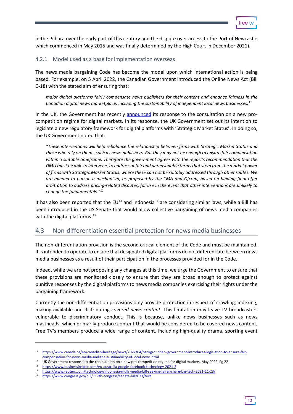

in the Pilbara over the early part of this century and the dispute over access to the Port of Newcastle which commenced in May 2015 and was finally determined by the High Court in December 2021).

#### 4.2.1 Model used as a base for implementation overseas

The news media bargaining Code has become the model upon which international action is being based. For example, on 5 April 2022, the Canadian Government introduced the Online News Act (Bill C-18) with the stated aim of ensuring that:

*major digital platforms fairly compensate news publishers for their content and enhance fairness in the Canadian digital news marketplace, including the sustainability of independent local news businesses. [11](#page-11-1)*

In the UK, the Government has recently [announced](https://assets.publishing.service.gov.uk/government/uploads/system/uploads/attachment_data/file/1073164/E02740688_CP_657_Gov_Resp_Consultation_on_pro-comp_digital_markets_Accessible.pdf) its response to the consultation on a new procompetition regime for digital markets. In its response, the UK Government set out its intention to legislate a new regulatory framework for digital platforms with 'Strategic Market Status'. In doing so, the UK Government noted that:

*"These interventions will help rebalance the relationship between firms with Strategic Market Status and those who rely on them - such as news publishers. But they may not be enough to ensure fair compensation within a suitable timeframe. Therefore the government agrees with the report's recommendation that the DMU must be able to intervene, to address unfair and unreasonable terms that stem from the market power of firms with Strategic Market Status, where these can not be suitably addressed through other routes. We are minded to pursue a mechanism, as proposed by the CMA and Ofcom, based on binding final offer arbitration to address pricing-related disputes, for use in the event that other interventions are unlikely to change the fundamentals."[12](#page-11-2)*

It has also been reported that the  $EU^{13}$  $EU^{13}$  $EU^{13}$  and Indonesia<sup>[14](#page-11-4)</sup> are considering similar laws, while a Bill has been introduced in the US Senate that would allow collective bargaining of news media companies with the digital platforms.<sup>[15](#page-11-5)</sup>

#### <span id="page-11-0"></span>4.3 Non-differentiation essential protection for news media businesses

The non-differentiation provision is the second critical element of the Code and must be maintained. It is intended to operate to ensure that designated digital platforms do not differentiate between news media businesses as a result of their participation in the processes provided for in the Code.

Indeed, while we are not proposing any changes at this time, we urge the Government to ensure that these provisions are monitored closely to ensure that they are broad enough to protect against punitive responses by the digital platforms to news media companies exercising their rights under the bargaining framework.

Currently the non-differentiation provisions only provide protection in respect of crawling, indexing, making available and distributing *covered news content.* This limitation may leave TV broadcasters vulnerable to discriminatory conduct. This is because, unlike news businesses such as news mastheads, which primarily produce content that would be considered to be covered news content, Free TV's members produce a wide range of content, including high-quality drama, sporting event

<span id="page-11-1"></span><sup>11</sup> [https://www.canada.ca/en/canadian-heritage/news/2022/04/backgrounder--government-introduces-legislation-to-ensure-fair](https://www.canada.ca/en/canadian-heritage/news/2022/04/backgrounder--government-introduces-legislation-to-ensure-fair-compensation-for-news-media-and-the-sustainability-of-local-news.html)compensation-for-news-media-and-the-sustainability-of-local-news.html<br><sup>12</sup> UK Government response to the consultation on a new pro-competition regime for digital markets, May 2022, Pg 22

<span id="page-11-3"></span><span id="page-11-2"></span><sup>13</sup> <https://www.businessinsider.com/eu-australia-google-facebook-technology-2021-2>

<span id="page-11-4"></span><sup>14</sup> https://www.reuters.com/technology/indonesia-mulls-media-bill-seeking-fairer-share-big-tech-2021-11-23/<br>15 https://www.congress.gov/bill/117th-congress/senate-bill/673/text

<span id="page-11-5"></span>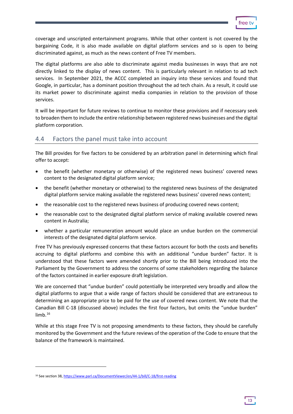t Ara

coverage and unscripted entertainment programs. While that other content is not covered by the bargaining Code, it is also made available on digital platform services and so is open to being discriminated against, as much as the news content of Free TV members.

The digital platforms are also able to discriminate against media businesses in ways that are not directly linked to the display of news content. This is particularly relevant in relation to ad tech services. In September 2021, the ACCC completed an inquiry into these services and found that Google, in particular, has a dominant position throughout the ad tech chain. As a result, it could use its market power to discriminate against media companies in relation to the provision of those services.

It will be important for future reviews to continue to monitor these provisions and if necessary seek to broaden them to include the entire relationship between registered news businesses and the digital platform corporation.

#### <span id="page-12-0"></span>4.4 Factors the panel must take into account

The Bill provides for five factors to be considered by an arbitration panel in determining which final offer to accept:

- the benefit (whether monetary or otherwise) of the registered news business' covered news content to the designated digital platform service;
- the benefit (whether monetary or otherwise) to the registered news business of the designated digital platform service making available the registered news business' covered news content;
- the reasonable cost to the registered news business of producing covered news content;
- the reasonable cost to the designated digital platform service of making available covered news content in Australia;
- whether a particular remuneration amount would place an undue burden on the commercial interests of the designated digital platform service.

Free TV has previously expressed concerns that these factors account for both the costs and benefits accruing to digital platforms and combine this with an additional "undue burden" factor. It is understood that these factors were amended shortly prior to the Bill being introduced into the Parliament by the Government to address the concerns of some stakeholders regarding the balance of the factors contained in earlier exposure draft legislation.

We are concerned that "undue burden" could potentially be interpreted very broadly and allow the digital platforms to argue that a wide range of factors should be considered that are extraneous to determining an appropriate price to be paid for the use of covered news content. We note that the Canadian Bill C-18 (discussed above) includes the first four factors, but omits the "undue burden" limb. $16$ 

While at this stage Free TV is not proposing amendments to these factors, they should be carefully monitored by the Government and the future reviews of the operation of the Code to ensure that the balance of the framework is maintained.

<span id="page-12-1"></span><sup>&</sup>lt;sup>16</sup> See section 38, https://www.parl.ca/DocumentViewer/en/44-1/bill/C-18/first-reading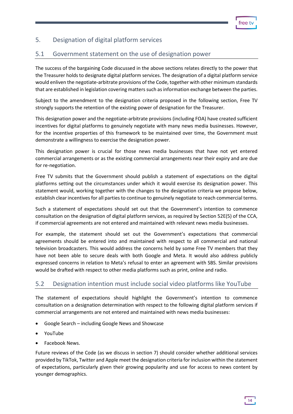# <span id="page-13-0"></span>5. Designation of digital platform services

# <span id="page-13-1"></span>5.1 Government statement on the use of designation power

The success of the bargaining Code discussed in the above sections relates directly to the power that the Treasurer holds to designate digital platform services. The designation of a digital platform service would enliven the negotiate-arbitrate provisions of the Code, together with other minimum standards that are established in legislation covering matters such as information exchange between the parties.

Subject to the amendment to the designation criteria proposed in the following section, Free TV strongly supports the retention of the existing power of designation for the Treasurer.

This designation power and the negotiate-arbitrate provisions (including FOA) have created sufficient incentives for digital platforms to genuinely negotiate with many news media businesses. However, for the incentive properties of this framework to be maintained over time, the Government must demonstrate a willingness to exercise the designation power.

This designation power is crucial for those news media businesses that have not yet entered commercial arrangements or as the existing commercial arrangements near their expiry and are due for re-negotiation.

Free TV submits that the Government should publish a statement of expectations on the digital platforms setting out the circumstances under which it would exercise its designation power. This statement would, working together with the changes to the designation criteria we propose below, establish clear incentives for all parties to continue to genuinely negotiate to reach commercial terms.

Such a statement of expectations should set out that the Government's intention to commence consultation on the designation of digital platform services, as required by Section 52E(5) of the CCA, if commercial agreements are not entered and maintained with relevant news media businesses.

For example, the statement should set out the Government's expectations that commercial agreements should be entered into and maintained with respect to all commercial and national television broadcasters. This would address the concerns held by some Free TV members that they have not been able to secure deals with both Google and Meta. It would also address publicly expressed concerns in relation to Meta's refusal to enter an agreement with SBS. Similar provisions would be drafted with respect to other media platforms such as print, online and radio.

#### <span id="page-13-2"></span>5.2 Designation intention must include social video platforms like YouTube

The statement of expectations should highlight the Government's intention to commence consultation on a designation determination with respect to the following digital platform services if commercial arrangements are not entered and maintained with news media businesses:

- Google Search including Google News and Showcase
- YouTube
- Facebook News.

Future reviews of the Code (as we discuss in section 7) should consider whether additional services provided by TikTok, Twitter and Apple meet the designation criteria for inclusion within the statement of expectations, particularly given their growing popularity and use for access to news content by younger demographics.

14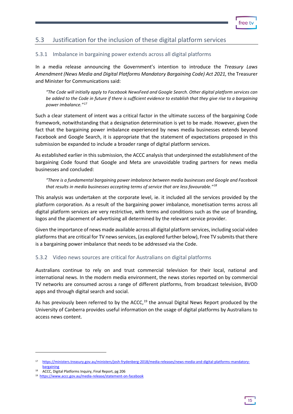# <span id="page-14-0"></span>5.3 Justification for the inclusion of these digital platform services

#### 5.3.1 Imbalance in bargaining power extends across all digital platforms

In a media release announcing the Government's intention to introduce the *Treasury Laws*  Amendment (News Media and Digital Platforms Mandatory Bargaining Code) Act 2021, the Treasurer and Minister for Communications said:

*"The Code will initially apply to Facebook NewsFeed and Google Search. Other digital platform services can be added to the Code in future if there is sufficient evidence to establish that they give rise to a bargaining power imbalance."[17](#page-14-1)*

Such a clear statement of intent was a critical factor in the ultimate success of the bargaining Code framework, notwithstanding that a designation determination is yet to be made. However, given the fact that the bargaining power imbalance experienced by news media businesses extends beyond Facebook and Google Search, it is appropriate that the statement of expectations proposed in this submission be expanded to include a broader range of digital platform services.

As established earlier in this submission, the ACCC analysis that underpinned the establishment of the bargaining Code found that Google and Meta are unavoidable trading partners for news media businesses and concluded:

*"There is a fundamental bargaining power imbalance between media businesses and Google and Facebook that results in media businesses accepting terms of service that are less favourable."[18](#page-14-2)*

This analysis was undertaken at the corporate level, ie. it included all the services provided by the platform corporation. As a result of the bargaining power imbalance, monetisation terms across all digital platform services are very restrictive, with terms and conditions such as the use of branding, logos and the placement of advertising all determined by the relevant service provider.

Given the importance of news made available across all digital platform services, including social video platforms that are critical for TV news services, (as explored further below), Free TV submits that there is a bargaining power imbalance that needs to be addressed via the Code.

#### 5.3.2 Video news sources are critical for Australians on digital platforms

Australians continue to rely on and trust commercial television for their local, national and international news. In the modern media environment, the news stories reported on by commercial TV networks are consumed across a range of different platforms, from broadcast television, BVOD apps and through digital search and social.

As has previously been referred to by the ACCC,<sup>[19](#page-14-3)</sup> the annual Digital News Report produced by the University of Canberra provides useful information on the usage of digital platforms by Australians to access news content.

<span id="page-14-1"></span><sup>17</sup> [https://ministers.treasury.gov.au/ministers/josh-frydenberg-2018/media-releases/news-media-and-digital-platforms-mandatory](https://ministers.treasury.gov.au/ministers/josh-frydenberg-2018/media-releases/news-media-and-digital-platforms-mandatory-bargaining)bargaining<br><sup>18</sup> ACCC, Digital Platforms Inquiry, Final Report, pg 206

<span id="page-14-3"></span><span id="page-14-2"></span><sup>19</sup><https://www.accc.gov.au/media-release/statement-on-facebook>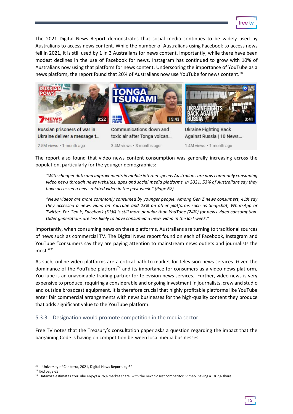

The 2021 Digital News Report demonstrates that social media continues to be widely used by Australians to access news content. While the number of Australians using Facebook to access news fell in 2021, it is still used by 1 in 3 Australians for news content. Importantly, while there have been modest declines in the use of Facebook for news, Instagram has continued to grow with 10% of Australians now using that platform for news content. Underscoring the importance of YouTube as a news platform, the report found that [20](#page-15-0)% of Australians now use YouTube for news content.<sup>20</sup>



The report also found that video news content consumption was generally increasing across the population, particularly for the younger demographics:

*"With cheaper data and improvements in mobile internetspeeds Australians are now commonly consuming video news through news websites, apps and social media platforms. In 2021, 53% of Australians say they have accessed a news related video in the past week." (Page 67)*

*"News videos are more commonly consumed by younger people. Among Gen Z news consumers, 41% say they accessed a news video on YouTube and 23% on other platforms such as Snapchat, WhatsApp or Twitter. For Gen Y, Facebook (31%) is still more popular than YouTube (24%) for news video consumption. Older generations are less likely to have consumed a news video in the last week."*

Importantly, when consuming news on these platforms, Australians are turning to traditional sources of news such as commercial TV. The Digital News report found on each of Facebook, Instagram and YouTube "consumers say they are paying attention to mainstream news outlets and journalists the most.["21](#page-15-1)

As such, online video platforms are a critical path to market for television news services. Given the dominance of the YouTube platform<sup>[22](#page-15-2)</sup> and its importance for consumers as a video news platform, YouTube is an unavoidable trading partner for television news services. Further, video news is very expensive to produce, requiring a considerable and ongoing investment in journalists, crew and studio and outside broadcast equipment. It is therefore crucial that highly profitable platforms like YouTube enter fair commercial arrangements with news businesses for the high-quality content they produce that adds significant value to the YouTube platform.

#### 5.3.3 Designation would promote competition in the media sector

Free TV notes that the Treasury's consultation paper asks a question regarding the impact that the bargaining Code is having on competition between local media businesses.

<span id="page-15-2"></span> $22$  Datanyze estimates YouTube enjoys a 76% market share, with the next closest competitor, Vimeo, having a 18.7% share



<span id="page-15-0"></span><sup>&</sup>lt;sup>20</sup> University of Canberra, 2021, Digital News Report, pg 64

<span id="page-15-1"></span> $21$  Ibid page 65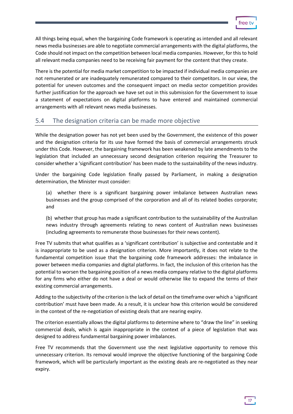All things being equal, when the bargaining Code framework is operating as intended and all relevant news media businesses are able to negotiate commercial arrangements with the digital platforms, the Code should not impact on the competition between local media companies. However, for this to hold all relevant media companies need to be receiving fair payment for the content that they create.

There is the potential for media market competition to be impacted if individual media companies are not remunerated or are inadequately remunerated compared to their competitors. In our view, the potential for uneven outcomes and the consequent impact on media sector competition provides further justification for the approach we have set out in this submission for the Government to issue a statement of expectations on digital platforms to have entered and maintained commercial arrangements with all relevant news media businesses.

# <span id="page-16-0"></span>5.4 The designation criteria can be made more objective

While the designation power has not yet been used by the Government, the existence of this power and the designation criteria for its use have formed the basis of commercial arrangements struck under this Code. However, the bargaining framework has been weakened by late amendments to the legislation that included an unnecessary second designation criterion requiring the Treasurer to consider whether a 'significant contribution' has been made to the sustainability of the news industry.

Under the bargaining Code legislation finally passed by Parliament, in making a designation determination, the Minister must consider:

(a) whether there is a significant bargaining power imbalance between Australian news businesses and the group comprised of the corporation and all of its related bodies corporate; and

(b) whether that group has made a significant contribution to the sustainability of the Australian news industry through agreements relating to news content of Australian news businesses (including agreements to remunerate those businesses for their news content).

Free TV submits that what qualifies as a 'significant contribution' is subjective and contestable and it is inappropriate to be used as a designation criterion. More importantly, it does not relate to the fundamental competition issue that the bargaining code framework addresses: the imbalance in power between media companies and digital platforms. In fact, the inclusion of this criterion has the potential to worsen the bargaining position of a news media company relative to the digital platforms for any firms who either do not have a deal or would otherwise like to expand the terms of their existing commercial arrangements.

Adding to the subjectivity of the criterion is the lack of detail on the timeframe over which a 'significant contribution' must have been made. As a result, it is unclear how this criterion would be considered in the context of the re-negotiation of existing deals that are nearing expiry.

The criterion essentially allows the digital platforms to determine where to "draw the line" in seeking commercial deals, which is again inappropriate in the context of a piece of legislation that was designed to address fundamental bargaining power imbalances.

Free TV recommends that the Government use the next legislative opportunity to remove this unnecessary criterion. Its removal would improve the objective functioning of the bargaining Code framework, which will be particularly important as the existing deals are re-negotiated as they near expiry.

17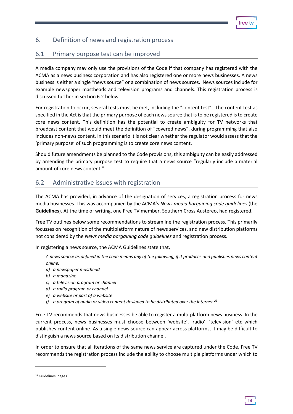# <span id="page-17-0"></span>6. Definition of news and registration process

# <span id="page-17-1"></span>6.1 Primary purpose test can be improved

A media company may only use the provisions of the Code if that company has registered with the ACMA as a news business corporation and has also registered one or more news businesses. A news business is either a single "news source" or a combination of news sources. News sources include for example newspaper mastheads and television programs and channels. This registration process is discussed further in section 6.2 below.

For registration to occur, several tests must be met, including the "content test". The content test as specified in the Act is that the primary purpose of each news source that is to be registered is to create core news content. This definition has the potential to create ambiguity for TV networks that broadcast content that would meet the definition of "covered news", during programming that also includes non-news content. In this scenario it is not clear whether the regulator would assess that the 'primary purpose' of such programming is to create core news content.

Should future amendments be planned to the Code provisions, this ambiguity can be easily addressed by amending the primary purpose test to require that a news source "regularly include a material amount of core news content."

#### <span id="page-17-2"></span>6.2 Administrative issues with registration

The ACMA has provided, in advance of the designation of services, a registration process for news media businesses. This was accompanied by the ACMA's *News media bargaining code guidelines* (the **Guidelines**). At the time of writing, one Free TV member, Southern Cross Austereo, had registered.

Free TV outlines below some recommendations to streamline the registration process. This primarily focusses on recognition of the multiplatform nature of news services, and new distribution platforms not considered by the *News media bargaining code guidelines* and registration process.

In registering a news source, the ACMA Guidelines state that,

*A news source as defined in the code means any of the following, if it produces and publishes news content online:*

- *a) a newspaper masthead*
- *b) a magazine*
- *c) a television program or channel*
- *d) a radio program or channel*
- *e) a website or part of a website*
- *f) a program of audio or video content designed to be distributed over the internet.[23](#page-17-3)*

Free TV recommends that news businesses be able to register a multi-platform news business. In the current process, news businesses must choose between 'website', 'radio', 'television' etc which publishes content online. As a single news source can appear across platforms, it may be difficult to distinguish a news source based on its distribution channel.

In order to ensure that all iterations of the same news service are captured under the Code, Free TV recommends the registration process include the ability to choose multiple platforms under which to

18

<span id="page-17-3"></span><sup>&</sup>lt;sup>23</sup> Guidelines, page 6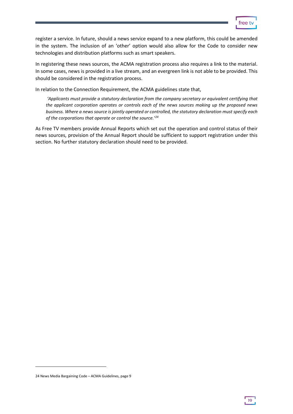

register a service. In future, should a news service expand to a new platform, this could be amended in the system. The inclusion of an 'other' option would also allow for the Code to consider new technologies and distribution platforms such as smart speakers.

In registering these news sources, the ACMA registration process also requires a link to the material. In some cases, news is provided in a live stream, and an evergreen link is not able to be provided. This should be considered in the registration process.

In relation to the Connection Requirement, the ACMA guidelines state that,

*'Applicants must provide a statutory declaration from the company secretary or equivalent certifying that the applicant corporation operates or controls each of the news sources making up the proposed news business. Where a news source is jointly operated or controlled, the statutory declaration must specify each of the corporations that operate or control the source.' [24](#page-18-0)*

As Free TV members provide Annual Reports which set out the operation and control status of their news sources, provision of the Annual Report should be sufficient to support registration under this section. No further statutory declaration should need to be provided.

19

<span id="page-18-0"></span><sup>24</sup> News Media Bargaining Code – ACMA Guidelines, page 9